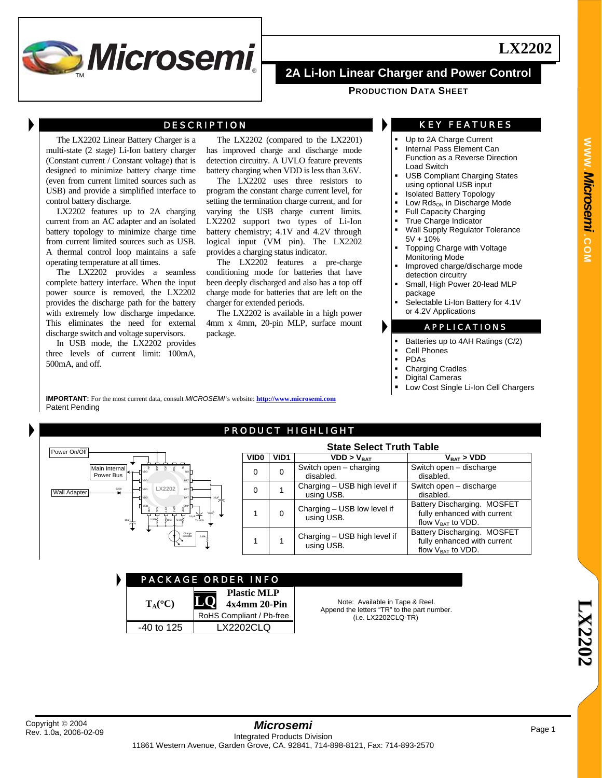

## DESCRIPTION

The LX2202 Linear Battery Charger is a multi-state (2 stage) Li-Ion battery charger (Constant current / Constant voltage) that is designed to minimize battery charge time (even from current limited sources such as USB) and provide a simplified interface to control battery discharge.

LX2202 features up to 2A charging current from an AC adapter and an isolated battery topology to minimize charge time from current limited sources such as USB. A thermal control loop maintains a safe operating temperature at all times.

The LX2202 provides a seamless complete battery interface. When the input power source is removed, the LX2202 provides the discharge path for the battery with extremely low discharge impedance. This eliminates the need for external discharge switch and voltage supervisors.

In USB mode, the LX2202 provides three levels of current limit: 100mA, 500mA, and off.

The LX2202 (compared to the LX2201) has improved charge and discharge mode detection circuitry. A UVLO feature prevents battery charging when VDD is less than 3.6V.

The LX2202 uses three resistors to program the constant charge current level, for setting the termination charge current, and for varying the USB charge current limits. LX2202 support two types of Li-Ion battery chemistry; 4.1V and 4.2V through logical input (VM pin). The LX2202 provides a charging status indicator.

The LX2202 features a pre-charge conditioning mode for batteries that have been deeply discharged and also has a top off charge mode for batteries that are left on the charger for extended periods.

The LX2202 is available in a high power 4mm x 4mm, 20-pin MLP, surface mount package.

## KEY FEATURES

**LX2202**

- Up to 2A Charge Current
- Internal Pass Element Can
- Function as a Reverse Direction Load Switch
- USB Compliant Charging States using optional USB input
- Isolated Battery Topology
- Low Rds<sub>ON</sub> in Discharge Mode
- Full Capacity Charging True Charge Indicator
- Wall Supply Regulator Tolerance 5V + 10%
- Topping Charge with Voltage Monitoring Mode
- Improved charge/discharge mode detection circuitry
- Small, High Power 20-lead MLP package
- Selectable Li-Ion Battery for 4.1V or 4.2V Applications

## APPLICATIONS

- Batteries up to 4AH Ratings (C/2)
- Cell Phones
- PDAs
- Charging Cradles
- Digital Cameras
- Low Cost Single Li-Ion Cell Chargers

**IMPORTANT:** For the most current data, consult *MICROSEMI*'s website: **http://www.microsemi.com** Patent Pending

## PRODUCT HIGHLIGHT

| Power On/Off                                                                                                                       | <b>State Select Truth Table</b> |                  |                                            |                                                                                         |  |  |  |
|------------------------------------------------------------------------------------------------------------------------------------|---------------------------------|------------------|--------------------------------------------|-----------------------------------------------------------------------------------------|--|--|--|
|                                                                                                                                    | VID <sub>0</sub>                | VID <sub>1</sub> | VDD > V <sub>BAT</sub>                     | $V_{\text{BAT}}$ > VDD                                                                  |  |  |  |
| Main Internal<br>l←←─∏v¤o<br>Power Bus<br>BAT<br>- II voo                                                                          |                                 |                  | Switch open – charging<br>disabled.        | Switch open - discharge<br>disabled.                                                    |  |  |  |
| LX2202<br>B220<br>BAT <sub>1</sub><br>–∏voo<br><b>Wall Adapter</b><br><b>BAT</b><br>- I voo<br>$\overline{ }$                      |                                 |                  | Charging - USB high level if<br>using USB. | Switch open - discharge<br>disabled.                                                    |  |  |  |
| II usa<br>CMP <sup>1</sup><br>$\cdot$ 0.1 $\neq$<br>2.55k <sup>2</sup><br>>105k 72.3kS<br>$\overline{ }$ <sup>10µF</sup><br>To VDD |                                 | 0                | Charging - USB low level if<br>using USB.  | Battery Discharging. MOSFET<br>fully enhanced with current<br>flow $V_{BAT}$ to $VDD$ . |  |  |  |
| ÷<br>Charge<br>2.49k<br>Indicator                                                                                                  |                                 |                  | Charging - USB high level if<br>using USB. | Battery Discharging. MOSFET<br>fully enhanced with current<br>flow $V_{BAT}$ to $VDD$ . |  |  |  |

| <u>PACK</u> AGE ORDER INFO |                                    |  |  |
|----------------------------|------------------------------------|--|--|
| $T_A(^{\circ}C)$           | <b>Plastic MLP</b><br>4x4mm 20-Pin |  |  |
|                            | RoHS Compliant / Pb-free           |  |  |
| $-40$ to 125               | LX2202CLO                          |  |  |

Note: Available in Tape & Reel. Append the letters "TR" to the part number. (i.e. LX2202CLQ-TR)

**WWW.**

**L**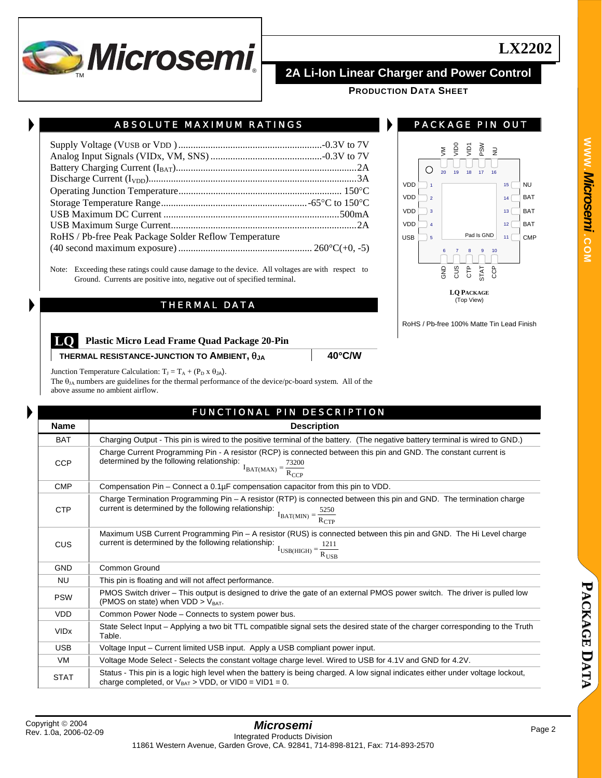

# ABSOLUTE MAXIMUM RATINGS

| RoHS / Pb-free Peak Package Solder Reflow Temperature |  |
|-------------------------------------------------------|--|
|                                                       |  |
|                                                       |  |

Note: Exceeding these ratings could cause damage to the device. All voltages are with respect to Ground. Currents are positive into, negative out of specified terminal.

## THERMAL DATA



PACKAGE PIN OUT

**LQ PACKAGE** (Top View)

RoHS / Pb-free 100% Matte Tin Lead Finish

## **LQ Plastic Micro Lead Frame Quad Package 20-Pin**

**THERMAL RESISTANCE-JUNCTION TO AMBIENT,** θ**JA 40**°**C/W**

Junction Temperature Calculation:  $T_J = T_A + (P_D \times \theta_{JA})$ .

The  $\theta_{JA}$  numbers are guidelines for the thermal performance of the device/pc-board system. All of the above assume no ambient airflow.

# FUNCTIONAL PIN DESCRIPTION

| <b>Name</b>            | <b>Description</b>                                                                                                                                                                                                             |
|------------------------|--------------------------------------------------------------------------------------------------------------------------------------------------------------------------------------------------------------------------------|
| <b>BAT</b>             | Charging Output - This pin is wired to the positive terminal of the battery. (The negative battery terminal is wired to GND.)                                                                                                  |
| <b>CCP</b>             | Charge Current Programming Pin - A resistor (RCP) is connected between this pin and GND. The constant current is<br>determined by the following relationship:<br>$I_{BAT(MAX)} = \frac{73200}{R_{CCP}}$                        |
| <b>CMP</b>             | Compensation $Pin - Connect$ a $0.1\mu F$ compensation capacitor from this pin to VDD.                                                                                                                                         |
| <b>CTP</b>             | Charge Termination Programming Pin – A resistor (RTP) is connected between this pin and GND. The termination charge<br>current is determined by the following relationship:<br>$I_{BAT(MIN)} = \frac{5250}{R_{CTP}}$           |
| CUS                    | Maximum USB Current Programming Pin – A resistor (RUS) is connected between this pin and GND. The Hi Level charge<br>current is determined by the following relationship: $I_{\text{USB(HIGH)}} = \frac{1211}{R_{\text{USB}}}$ |
| <b>GND</b>             | Common Ground                                                                                                                                                                                                                  |
| <b>NU</b>              | This pin is floating and will not affect performance.                                                                                                                                                                          |
| <b>PSW</b>             | PMOS Switch driver – This output is designed to drive the gate of an external PMOS power switch. The driver is pulled low<br>(PMOS on state) when $VDD > V_{BAT}$ .                                                            |
| <b>VDD</b>             | Common Power Node – Connects to system power bus.                                                                                                                                                                              |
| <b>VID<sub>x</sub></b> | State Select Input – Applying a two bit TTL compatible signal sets the desired state of the charger corresponding to the Truth<br>Table.                                                                                       |
| <b>USB</b>             | Voltage Input – Current limited USB input. Apply a USB compliant power input.                                                                                                                                                  |
| <b>VM</b>              | Voltage Mode Select - Selects the constant voltage charge level. Wired to USB for 4.1V and GND for 4.2V.                                                                                                                       |
| <b>STAT</b>            | Status - This pin is a logic high level when the battery is being charged. A low signal indicates either under voltage lockout,<br>charge completed, or $V_{BAT} > VDD$ , or $VIDO = VID1 = 0$ .                               |

**LX2202**

**P A C K A G**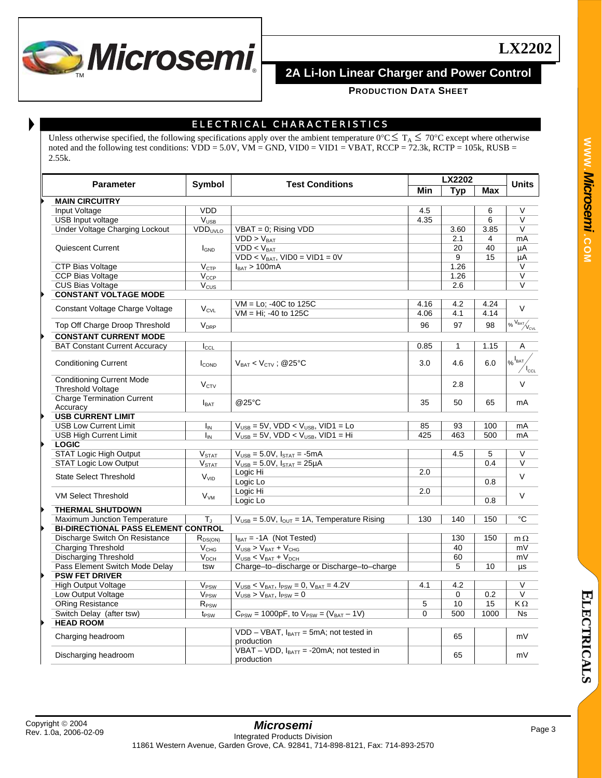

**PRODUCTION DATA SHEET**

# ELECTRICAL CHARACTERISTICS

Unless otherwise specified, the following specifications apply over the ambient temperature  $0^{\circ}C \leq T_A \leq 70^{\circ}C$  except where otherwise noted and the following test conditions: VDD = 5.0V, VM = GND, VID0 = VID1 = VBAT, RCCP = 72.3k, RCTP = 105k, RUSB = 2.55k.

|                                            |                            |                                                                                     |            | <b>LX2202</b> |            |                                    |
|--------------------------------------------|----------------------------|-------------------------------------------------------------------------------------|------------|---------------|------------|------------------------------------|
| <b>Parameter</b>                           | <b>Symbol</b>              | <b>Test Conditions</b>                                                              | <b>Min</b> | Typ           | <b>Max</b> | <b>Units</b>                       |
| <b>MAIN CIRCUITRY</b>                      |                            |                                                                                     |            |               |            |                                    |
| Input Voltage                              | <b>VDD</b>                 |                                                                                     | 4.5        |               | 6          | V                                  |
| <b>USB Input voltage</b>                   | <b>V<sub>USB</sub></b>     |                                                                                     | 4.35       |               | 6          | $\vee$                             |
| Under Voltage Charging Lockout             | <b>VDD</b> <sub>UVLO</sub> | $VBAT = 0$ ; Rising $VDD$                                                           |            | 3.60          | 3.85       | $\vee$                             |
|                                            |                            | $VDD > V_{BAT}$                                                                     |            | 2.1           | 4          | mA                                 |
| Quiescent Current                          | <b>I</b> GND               | $VDD < V_{BAT}$                                                                     |            | 20            | 40         | μA                                 |
|                                            |                            | $VDD < V_{BAT}$ , $VIDO = VID1 = 0V$                                                |            | 9             | 15         | μA                                 |
| <b>CTP Bias Voltage</b>                    | $V_{CTP}$                  | $I_{BAT}$ > 100mA                                                                   |            | 1.26          |            | V                                  |
| <b>CCP Bias Voltage</b>                    | $V_{CCP}$                  |                                                                                     |            | 1.26          |            | $\vee$                             |
| <b>CUS Bias Voltage</b>                    | $V_{CUS}$                  |                                                                                     |            | 2.6           |            | V                                  |
| <b>CONSTANT VOLTAGE MODE</b>               |                            |                                                                                     |            |               |            |                                    |
|                                            |                            | $VM = Lo$ : -40C to 125C                                                            | 4.16       | 4.2           | 4.24       | $\vee$                             |
| Constant Voltage Charge Voltage            | $V_{CVL}$                  | VM = Hi; -40 to 125C                                                                | 4.06       | 4.1           | 4.14       |                                    |
| Top Off Charge Droop Threshold             | $V_{\text{DRP}}$           |                                                                                     | 96         | 97            | 98         | $\overline{\text{SylR}}\text{Sht}$ |
| <b>CONSTANT CURRENT MODE</b>               |                            |                                                                                     |            |               |            |                                    |
| <b>BAT Constant Current Accuracy</b>       |                            |                                                                                     | 0.85       | 1             | 1.15       | A                                  |
|                                            | $I_{\text{CCL}}$           |                                                                                     |            |               |            |                                    |
| <b>Conditioning Current</b>                | I <sub>COND</sub>          | $V_{BAT}$ < $V_{CTV}$ ; @25°C                                                       | 3.0        | 4.6           | 6.0        | $\frac{1}{26}$ BAT                 |
|                                            |                            |                                                                                     |            |               |            | $I_{\text{CCL}}$                   |
| <b>Conditioning Current Mode</b>           | $V_{\rm CTV}$              |                                                                                     |            | 2.8           |            | $\vee$                             |
| <b>Threshold Voltage</b>                   |                            |                                                                                     |            |               |            |                                    |
| <b>Charge Termination Current</b>          | $I_{\text{BAT}}$           | @25°C                                                                               | 35         | 50            | 65         | mA                                 |
| Accuracy                                   |                            |                                                                                     |            |               |            |                                    |
| <b>USB CURRENT LIMIT</b>                   |                            |                                                                                     |            |               |            |                                    |
| <b>USB Low Current Limit</b>               | Iм                         | $VUSB = 5V$ , VDD < $VUSB$ , VID1 = Lo                                              | 85         | 93            | 100        | mA                                 |
| <b>USB High Current Limit</b>              | $I_{IN}$                   | $V_{\text{USB}} = 5V$ , VDD < $V_{\text{USB}}$ , VID1 = Hi                          | 425        | 463           | 500        | mA                                 |
| <b>LOGIC</b>                               |                            |                                                                                     |            |               |            |                                    |
| <b>STAT Logic High Output</b>              | V <sub>STAT</sub>          | $V_{\text{USE}} = 5.0V, I_{\text{STAT}} = -5mA$                                     |            | 4.5           | 5          | V                                  |
| <b>STAT Logic Low Output</b>               | V <sub>STAT</sub>          | $V_{\text{USE}} = 5.0 V$ , $I_{\text{STAT}} = 25 \mu A$                             |            |               | 0.4        | V                                  |
| <b>State Select Threshold</b>              | <b>V<sub>VID</sub></b>     | Logic Hi                                                                            | 2.0        |               |            | $\vee$                             |
|                                            |                            | Logic Lo                                                                            |            |               | 0.8        |                                    |
| <b>VM Select Threshold</b>                 | $V_{VM}$                   | Logic Hi                                                                            | 2.0        |               |            | V                                  |
|                                            |                            | Logic Lo                                                                            |            |               | 0.8        |                                    |
| <b>THERMAL SHUTDOWN</b>                    |                            |                                                                                     |            |               |            |                                    |
| <b>Maximum Junction Temperature</b>        | $T_{\rm J}$                | $V_{\text{USB}} = 5.0 V$ , $I_{\text{OUT}} = 1A$ , Temperature Rising               | 130        | 140           | 150        | °C                                 |
| <b>BI-DIRECTIONAL PASS ELEMENT CONTROL</b> |                            |                                                                                     |            |               |            |                                    |
| Discharge Switch On Resistance             | $R_{DS(ON)}$               | $I_{BAT} = -1A$ (Not Tested)                                                        |            | 130           | 150        | $m \Omega$                         |
| <b>Charging Threshold</b>                  | V <sub>CHG</sub>           | $V_{\text{USB}}$ > $V_{\text{BAT}}$ + $V_{\text{CHG}}$                              |            | 40            |            | mV                                 |
| <b>Discharging Threshold</b>               | V <sub>DCH</sub>           | $V_{\text{USB}} < V_{\text{BAT}} + V_{\text{DCH}}$                                  |            | 60            |            | mV                                 |
| Pass Element Switch Mode Delay             | tsw                        | Charge-to-discharge or Discharge-to-charge                                          |            | 5             | 10         | μs                                 |
| <b>PSW FET DRIVER</b>                      |                            |                                                                                     |            |               |            |                                    |
| <b>High Output Voltage</b>                 | V <sub>PSW</sub>           | $V_{\text{USB}}$ < $V_{\text{BAT}}$ , $I_{\text{PSW}}$ = 0, $V_{\text{BAT}}$ = 4.2V | 4.1        | 4.2           |            | $\vee$                             |
| Low Output Voltage                         | V <sub>PSW</sub>           | $V_{\text{USB}}$ > $V_{\text{BAT}}$ , $I_{\text{PSW}} = 0$                          |            | 0             | 0.2        | $\vee$                             |
| <b>ORing Resistance</b>                    | $R_{PSW}$                  |                                                                                     | 5          | 10            | 15         | KΩ                                 |
| Switch Delay (after tsw)                   | $t_{PSW}$                  | $C_{PSW} = 1000pF$ , to $V_{PSW} = (V_{BAT} - 1V)$                                  | $\Omega$   | 500           | 1000       | Ns                                 |
| <b>HEAD ROOM</b>                           |                            |                                                                                     |            |               |            |                                    |
| Charging headroom                          |                            | VDD - VBAT, IBATT = 5mA; not tested in<br>production                                |            | 65            |            | mV                                 |
| Discharging headroom                       |                            | VBAT – VDD, $I_{BAT}$ = -20mA; not tested in<br>production                          |            | 65            |            | mV                                 |
|                                            |                            |                                                                                     |            |               |            |                                    |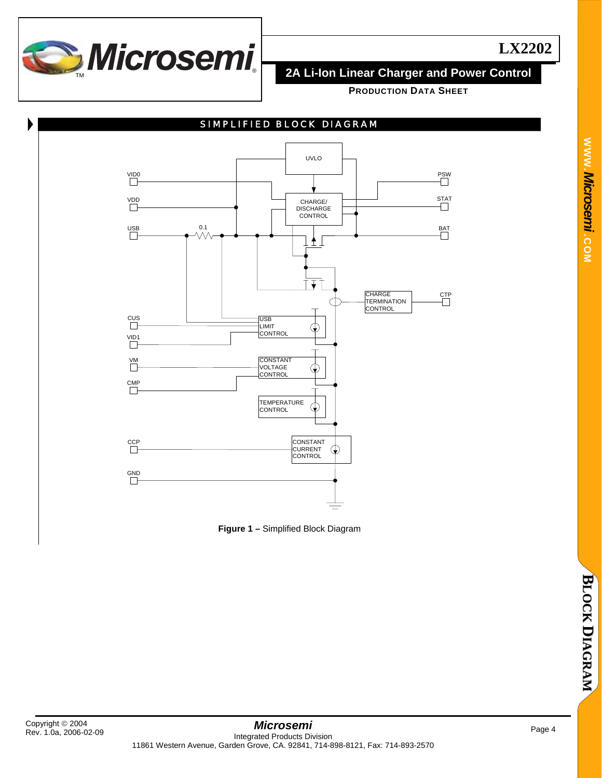

**PRODUCTION DATA SHEET**



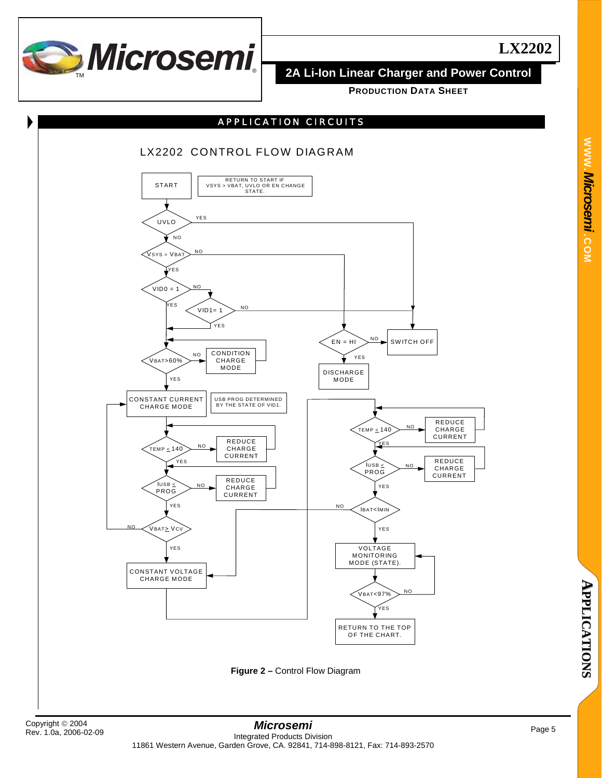

**PRODUCTION DATA SHEET**

## APPLICATION CIRCUITS

# LX2202 CONTROL FLOW DIAGRAM



**Figure 2 –** Control Flow Diagram

**WWW.**

*Microsemi .*

**COM**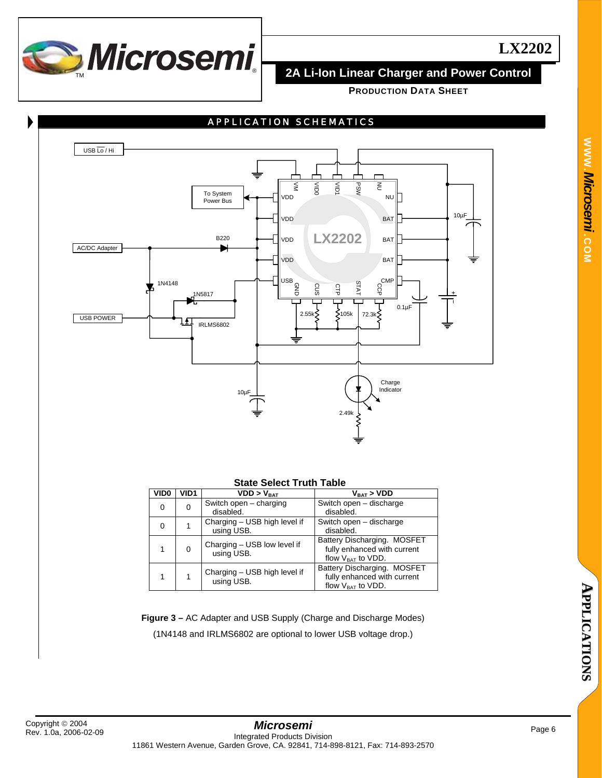

**PRODUCTION DATA SHEET**



## **State Select Truth Table**

| VID <sub>0</sub> | VID1 | VDD > V <sub>RAT</sub>                     | $V_{\text{rat}}$ > $VDD$                                                             |
|------------------|------|--------------------------------------------|--------------------------------------------------------------------------------------|
| 0                | 0    | Switch open - charging<br>disabled.        | Switch open - discharge<br>disabled.                                                 |
| 0                |      | Charging - USB high level if<br>using USB. | Switch open - discharge<br>disabled.                                                 |
|                  | 0    | Charging - USB low level if<br>using USB.  | Battery Discharging. MOSFET<br>fully enhanced with current<br>flow $V_{BAT}$ to VDD. |
|                  |      | Charging - USB high level if<br>using USB. | Battery Discharging. MOSFET<br>fully enhanced with current<br>flow $V_{BAT}$ to VDD. |

**Figure 3 –** AC Adapter and USB Supply (Charge and Discharge Modes) (1N4148 and IRLMS6802 are optional to lower USB voltage drop.)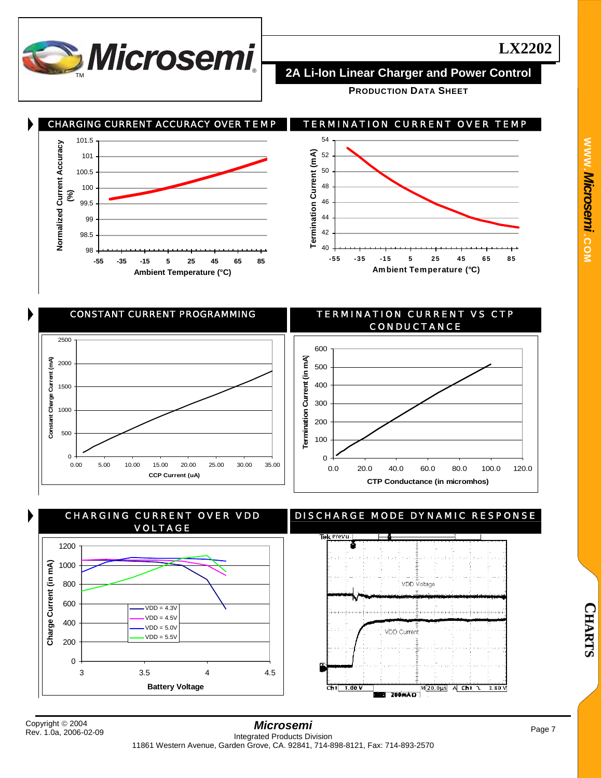

**PRODUCTION DATA SHEET**



 CONSTANT CURRENT PROGRAMMING TERMINATION CURRENT VS CTP CONDUCTANCE 2500 600 (in mA) **Termination Current (in mA)** E **Constant Charge Current (mA)** 2000 500 Constant Charge Current **Termination Current** 400 1500 300 1000 200 500 100 0  $\Omega$ 0.00 5.00 10.00 15.00 20.00 25.00 30.00 35.00 0.0 20.0 40.0 60.0 80.0 100.0 120.0 **CCP Current (uA) CTP Conductance (in micromhos)**



**C H A R T S**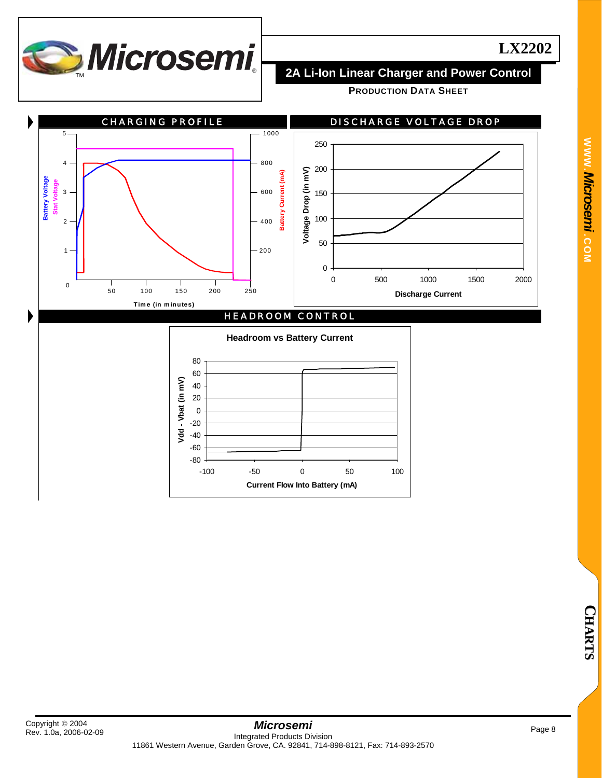

**PRODUCTION DATA SHEET**

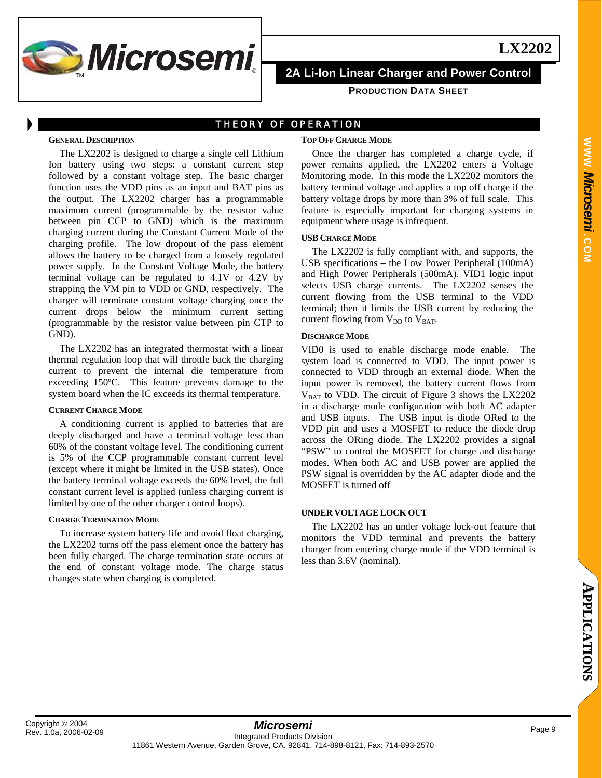

**PRODUCTION DATA SHEET**

## THEORY OF OPERATION

### **GENERAL DESCRIPTION**

The LX2202 is designed to charge a single cell Lithium Ion battery using two steps: a constant current step followed by a constant voltage step. The basic charger function uses the VDD pins as an input and BAT pins as the output. The LX2202 charger has a programmable maximum current (programmable by the resistor value between pin CCP to GND) which is the maximum charging current during the Constant Current Mode of the charging profile. The low dropout of the pass element allows the battery to be charged from a loosely regulated power supply. In the Constant Voltage Mode, the battery terminal voltage can be regulated to 4.1V or 4.2V by strapping the VM pin to VDD or GND, respectively. The charger will terminate constant voltage charging once the current drops below the minimum current setting (programmable by the resistor value between pin CTP to GND).

The LX2202 has an integrated thermostat with a linear thermal regulation loop that will throttle back the charging current to prevent the internal die temperature from exceeding 150ºC. This feature prevents damage to the system board when the IC exceeds its thermal temperature.

### **CURRENT CHARGE MODE**

A conditioning current is applied to batteries that are deeply discharged and have a terminal voltage less than 60% of the constant voltage level. The conditioning current is 5% of the CCP programmable constant current level (except where it might be limited in the USB states). Once the battery terminal voltage exceeds the 60% level, the full constant current level is applied (unless charging current is limited by one of the other charger control loops).

## **CHARGE TERMINATION MODE**

To increase system battery life and avoid float charging, the LX2202 turns off the pass element once the battery has been fully charged. The charge termination state occurs at the end of constant voltage mode. The charge status changes state when charging is completed.

## **TOP OFF CHARGE MODE**

Once the charger has completed a charge cycle, if power remains applied, the LX2202 enters a Voltage Monitoring mode. In this mode the LX2202 monitors the battery terminal voltage and applies a top off charge if the battery voltage drops by more than 3% of full scale. This feature is especially important for charging systems in equipment where usage is infrequent.

## **USB CHARGE MODE**

The LX2202 is fully compliant with, and supports, the USB specifications – the Low Power Peripheral (100mA) and High Power Peripherals (500mA). VID1 logic input selects USB charge currents. The LX2202 senses the current flowing from the USB terminal to the VDD terminal; then it limits the USB current by reducing the current flowing from  $V_{DD}$  to  $V_{BAT}$ .

## **DISCHARGE MODE**

VID0 is used to enable discharge mode enable. The system load is connected to VDD. The input power is connected to VDD through an external diode. When the input power is removed, the battery current flows from  $V_{BAT}$  to VDD. The circuit of Figure 3 shows the LX2202 in a discharge mode configuration with both AC adapter and USB inputs. The USB input is diode ORed to the VDD pin and uses a MOSFET to reduce the diode drop across the ORing diode. The LX2202 provides a signal "PSW" to control the MOSFET for charge and discharge modes. When both AC and USB power are applied the PSW signal is overridden by the AC adapter diode and the MOSFET is turned off

### **UNDER VOLTAGE LOCK OUT**

The LX2202 has an under voltage lock-out feature that monitors the VDD terminal and prevents the battery charger from entering charge mode if the VDD terminal is less than 3.6V (nominal).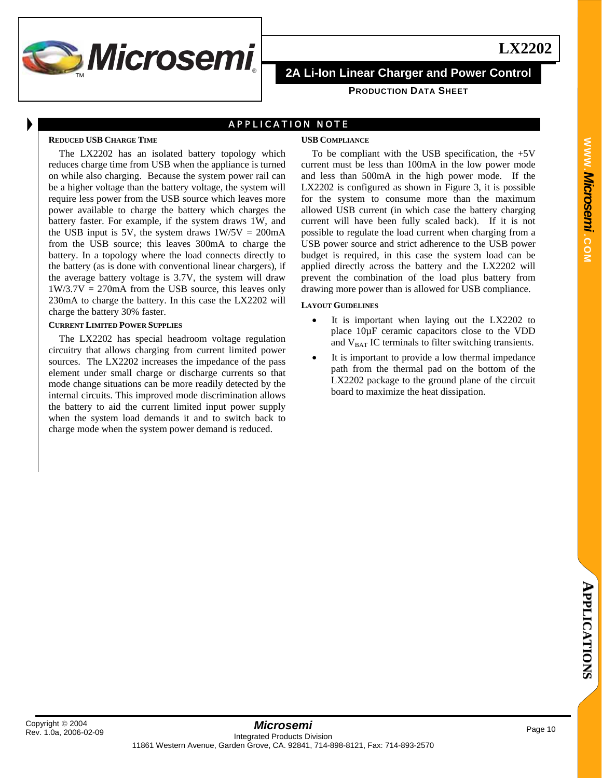

## APPLICATION NOTE

### **REDUCED USB CHARGE TIME**

The LX2202 has an isolated battery topology which reduces charge time from USB when the appliance is turned on while also charging. Because the system power rail can be a higher voltage than the battery voltage, the system will require less power from the USB source which leaves more power available to charge the battery which charges the battery faster. For example, if the system draws 1W, and the USB input is 5V, the system draws  $1W/5V = 200mA$ from the USB source; this leaves 300mA to charge the battery. In a topology where the load connects directly to the battery (as is done with conventional linear chargers), if the average battery voltage is 3.7V, the system will draw  $1W/3.7V = 270mA$  from the USB source, this leaves only 230mA to charge the battery. In this case the LX2202 will charge the battery 30% faster.

### **CURRENT LIMITED POWER SUPPLIES**

The LX2202 has special headroom voltage regulation circuitry that allows charging from current limited power sources. The LX2202 increases the impedance of the pass element under small charge or discharge currents so that mode change situations can be more readily detected by the internal circuits. This improved mode discrimination allows the battery to aid the current limited input power supply when the system load demands it and to switch back to charge mode when the system power demand is reduced.

## **USB COMPLIANCE**

To be compliant with the USB specification, the  $+5V$ current must be less than 100mA in the low power mode and less than 500mA in the high power mode. If the LX2202 is configured as shown in Figure 3, it is possible for the system to consume more than the maximum allowed USB current (in which case the battery charging current will have been fully scaled back). If it is not possible to regulate the load current when charging from a USB power source and strict adherence to the USB power budget is required, in this case the system load can be applied directly across the battery and the LX2202 will prevent the combination of the load plus battery from drawing more power than is allowed for USB compliance.

## **LAYOUT GUIDELINES**

- It is important when laying out the LX2202 to place 10µF ceramic capacitors close to the VDD and  $V_{BAT}$  IC terminals to filter switching transients.
- It is important to provide a low thermal impedance path from the thermal pad on the bottom of the LX2202 package to the ground plane of the circuit board to maximize the heat dissipation.

**LX2202**

**A**

**PPLIC** 

**A T I O N S**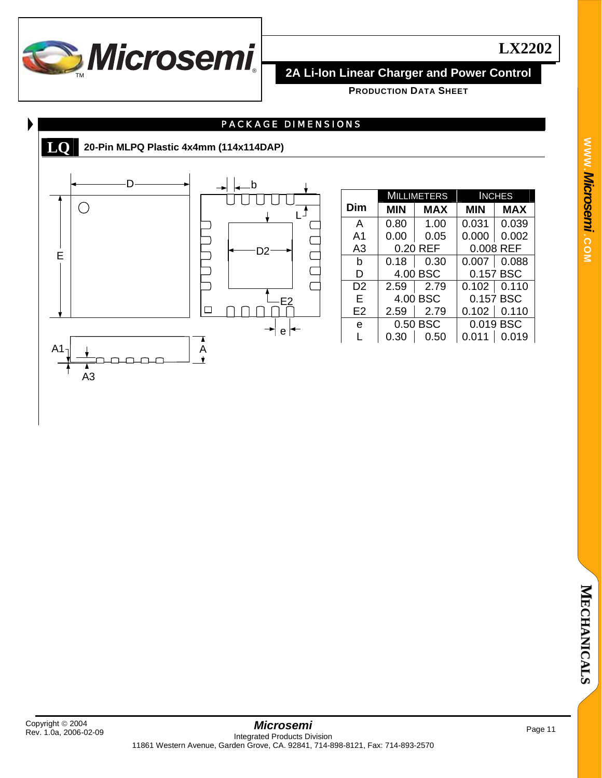

**WWW.**

*Microsemi .*

**COM**

**PRODUCTION DATA SHEET**

# PACKAGE DIMENSIONS



# **LQ 20-Pin MLPQ Plastic 4x4mm (114x114DAP)**



|                | MILLIMETERS |          | <b>INCHES</b> |               |  |
|----------------|-------------|----------|---------------|---------------|--|
| Dim            | MIN         | MAX      | MIN           | <b>MAX</b>    |  |
| A              | 0.80        | 1.00     | 0.031         | 0.039         |  |
| A1             | 0.00        | 0.05     | 0.000         | 0.002         |  |
| A3             |             | 0.20 REF | 0.008 REF     |               |  |
| h              | 0.18        | 0.30     |               | $0.007$ 0.088 |  |
| D              |             | 4.00 BSC |               | 0.157 BSC     |  |
| D2             | 2.59        | 2.79     |               | $0.102$ 0.110 |  |
| Е              | 4.00 BSC    |          |               | 0.157 BSC     |  |
| E <sub>2</sub> | 2.59        | 2.79     |               | $0.102$ 0.110 |  |
| e              | 0.50 BSC    |          |               | 0.019 BSC     |  |
|                | 0.30        | 0.50     | 0.011         | 0.019         |  |